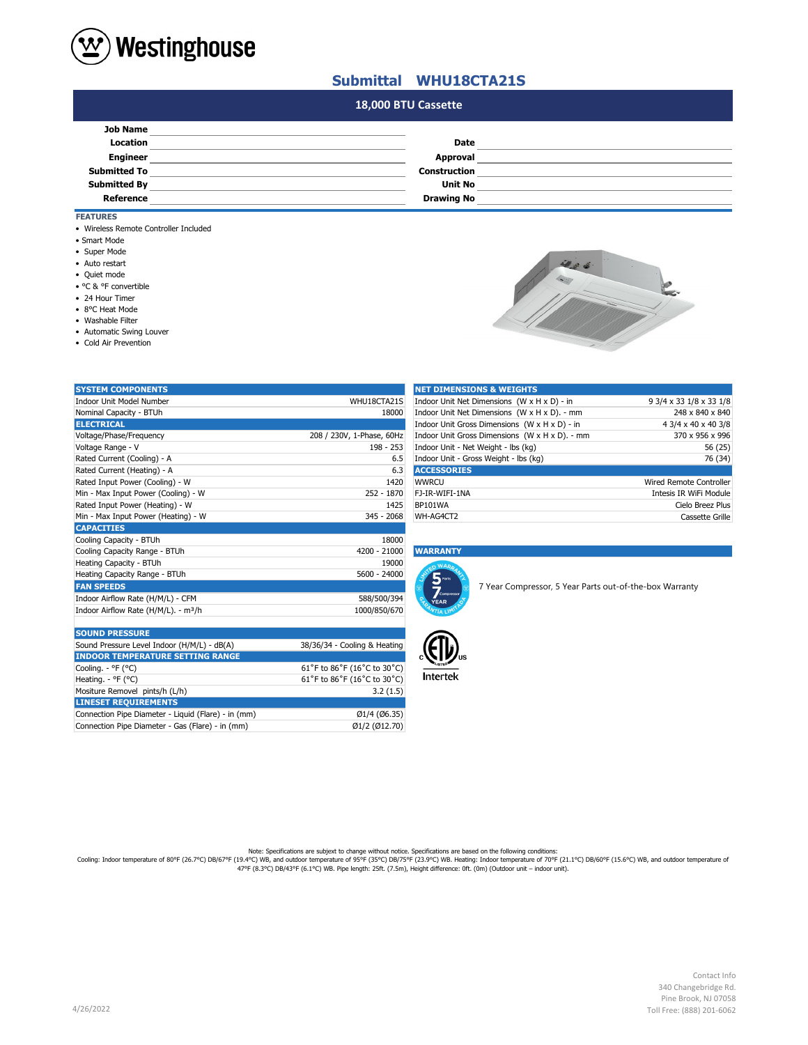

## **Submittal WHU18CTA21S**

## **#N/A 18,000 BTU Cassette**

| <b>Job Name</b>     |                     |  |
|---------------------|---------------------|--|
| Location            | Date                |  |
| <b>Engineer</b>     | Approval            |  |
| <b>Submitted To</b> | <b>Construction</b> |  |
| <b>Submitted By</b> | <b>Unit No</b>      |  |
| Reference           | <b>Drawing No</b>   |  |
|                     |                     |  |

### **FEATURES**

- Wireless Remote Controller Included
- Smart Mode
- Super Mode
- Auto restart
- Quiet mode
- °C & °F convertible
- 24 Hour Timer
- 8°C Heat Mode
- Washable Filter
- Automatic Swing Louver

**LINESET REQUIREMENTS**

Connection Pipe Diameter - Gas (Flare) - in (mm)

• Cold Air Prevention

| ĸ<br>٠<br>۰ |  |
|-------------|--|
|             |  |

| <b>SYSTEM COMPONENTS</b>                         |                              | <b>NET DIMENSIONS &amp; WEIGHTS</b>                     |                                |
|--------------------------------------------------|------------------------------|---------------------------------------------------------|--------------------------------|
| Indoor Unit Model Number                         | WHU18CTA21S                  | Indoor Unit Net Dimensions (W x H x D) - in             | 9 3/4 x 33 1/8 x 33 1/8        |
| Nominal Capacity - BTUh                          | 18000                        | Indoor Unit Net Dimensions (W x H x D). - mm            | 248 x 840 x 840                |
| <b>ELECTRICAL</b>                                |                              | Indoor Unit Gross Dimensions (W x H x D) - in           | 4 3/4 x 40 x 40 3/8            |
| Voltage/Phase/Frequency                          | 208 / 230V, 1-Phase, 60Hz    | Indoor Unit Gross Dimensions (W x H x D). - mm          | 370 x 956 x 996                |
| Voltage Range - V                                | $198 - 253$                  | Indoor Unit - Net Weight - lbs (kg)                     | 56 (25)                        |
| Rated Current (Cooling) - A                      | 6.5                          | Indoor Unit - Gross Weight - lbs (kg)                   | 76 (34)                        |
| Rated Current (Heating) - A                      | 6.3                          | <b>ACCESSORIES</b>                                      |                                |
| Rated Input Power (Cooling) - W                  | 1420                         | <b>WWRCU</b>                                            | <b>Wired Remote Controller</b> |
| Min - Max Input Power (Cooling) - W              | 252 - 1870                   | FJ-IR-WIFI-1NA                                          | Intesis IR WiFi Module         |
| Rated Input Power (Heating) - W                  | 1425                         | <b>BP101WA</b>                                          | Cielo Breez Plus               |
| Min - Max Input Power (Heating) - W              | 345 - 2068                   | WH-AG4CT2                                               | Cassette Grille                |
| <b>CAPACITIES</b>                                |                              |                                                         |                                |
| Cooling Capacity - BTUh                          | 18000                        |                                                         |                                |
| Cooling Capacity Range - BTUh                    | 4200 - 21000                 | <b>WARRANTY</b>                                         |                                |
| Heating Capacity - BTUh                          | 19000                        |                                                         |                                |
| Heating Capacity Range - BTUh                    | 5600 - 24000                 | 5 <sup>parts</sup>                                      |                                |
| <b>FAN SPEEDS</b>                                |                              | 7 Year Compressor, 5 Year Parts out-of-the-box Warranty |                                |
| Indoor Airflow Rate (H/M/L) - CFM                | 588/500/394                  | Compresso<br><b>YEAR</b>                                |                                |
| Indoor Airflow Rate (H/M/L). - m <sup>3</sup> /h | 1000/850/670                 |                                                         |                                |
|                                                  |                              |                                                         |                                |
| <b>SOUND PRESSURE</b>                            |                              |                                                         |                                |
| Sound Pressure Level Indoor (H/M/L) - dB(A)      | 38/36/34 - Cooling & Heating |                                                         |                                |
| <b>INDOOR TEMPERATURE SETTING RANGE</b>          |                              |                                                         |                                |
| Cooling. - °F (°C)                               | 61°F to 86°F (16°C to 30°C)  |                                                         |                                |
| Heating. - °F (°C)                               | 61°F to 86°F (16°C to 30°C)  | <b>Intertek</b>                                         |                                |

Mositure Removel pints/h (L/h) 3.2 (1.5)

Connection Pipe Diameter - Liquid (Flare) - in (mm)  $\begin{array}{ccc} \text{(06.35)} \\ \text{(1/4 (06.35)} \\ \text{(012.70)} \end{array}$ 

| <b>NET DIMENSIONS &amp; WEIGHTS</b>            |                                |
|------------------------------------------------|--------------------------------|
| Indoor Unit Net Dimensions (W x H x D) - in    | 9 3/4 x 33 1/8 x 33 1/8        |
| Indoor Unit Net Dimensions (W x H x D). - mm   | 248 x 840 x 840                |
| Indoor Unit Gross Dimensions (W x H x D) - in  | 4 3/4 x 40 x 40 3/8            |
| Indoor Unit Gross Dimensions (W x H x D). - mm | 370 x 956 x 996                |
| Indoor Unit - Net Weight - Ibs (kg)            | 56 (25)                        |
| Indoor Unit - Gross Weight - Ibs (kg)          | 76 (34)                        |
| <b>ACCESSORIES</b>                             |                                |
| WWRCU                                          | <b>Wired Remote Controller</b> |
| FJ-IR-WIFI-1NA                                 | Intesis IR WiFi Module         |
| <b>BP101WA</b>                                 | Cielo Breez Plus               |
| WH-AG4CT2                                      | Cassette Grille                |

#### Cooling Capacity Range - BTUh 4200 - 21000 **WARRANTY**





Note: Specifications are subjext to change without notice. Specifications are based on the following conditions:<br>Cooling: Indoor temperature of 80°F (26.7°C) DB/67°F (19.4°C) WB, and outdoor temperature of 90°F (26.7°C) DB